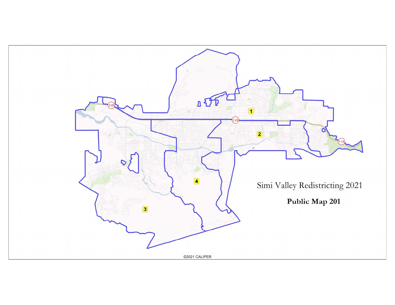